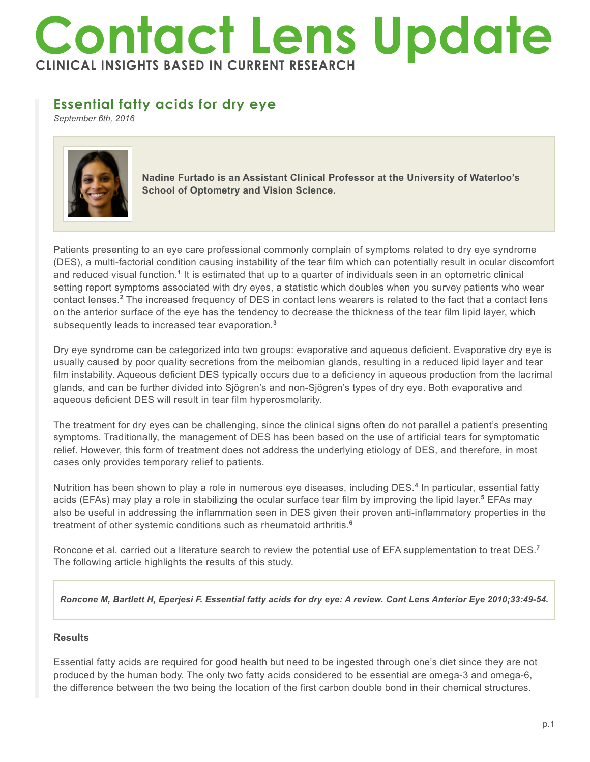# **Contact Lens Update CLINICAL INSIGHTS BASED IN CURRENT RESEARCH**

# **Essential fatty acids for dry eye**

*September 6th, 2016*



**Nadine Furtado is an Assistant Clinical Professor at the University of Waterloo's School of Optometry and Vision Science.**

Patients presenting to an eye care professional commonly complain of symptoms related to dry eye syndrome (DES), a multi-factorial condition causing instability of the tear film which can potentially result in ocular discomfort and reduced visual function.<sup>1</sup> It is estimated that up to a quarter of individuals seen in an optometric clinical setting report symptoms associated with dry eyes, a statistic which doubles when you survey patients who wear contact lenses.**<sup>2</sup>** The increased frequency of DES in contact lens wearers is related to the fact that a contact lens on the anterior surface of the eye has the tendency to decrease the thickness of the tear film lipid layer, which subsequently leads to increased tear evaporation.**<sup>3</sup>**

Dry eye syndrome can be categorized into two groups: evaporative and aqueous deficient. Evaporative dry eye is usually caused by poor quality secretions from the meibomian glands, resulting in a reduced lipid layer and tear film instability. Aqueous deficient DES typically occurs due to a deficiency in aqueous production from the lacrimal glands, and can be further divided into Sjögren's and non-Sjögren's types of dry eye. Both evaporative and aqueous deficient DES will result in tear film hyperosmolarity.

The treatment for dry eyes can be challenging, since the clinical signs often do not parallel a patient's presenting symptoms. Traditionally, the management of DES has been based on the use of artificial tears for symptomatic relief. However, this form of treatment does not address the underlying etiology of DES, and therefore, in most cases only provides temporary relief to patients.

Nutrition has been shown to play a role in numerous eye diseases, including DES.**<sup>4</sup>** In particular, essential fatty acids (EFAs) may play a role in stabilizing the ocular surface tear film by improving the lipid layer.**<sup>5</sup>** EFAs may also be useful in addressing the inflammation seen in DES given their proven anti-inflammatory properties in the treatment of other systemic conditions such as rheumatoid arthritis.**<sup>6</sup>**

Roncone et al. carried out a literature search to review the potential use of EFA supplementation to treat DES.**<sup>7</sup>** The following article highlights the results of this study.

*Roncone M, Bartlett H, Eperjesi F. Essential fatty acids for dry eye: A review. Cont Lens Anterior Eye 2010;33:49-54.*

## **Results**

Essential fatty acids are required for good health but need to be ingested through one's diet since they are not produced by the human body. The only two fatty acids considered to be essential are omega-3 and omega-6, the difference between the two being the location of the first carbon double bond in their chemical structures.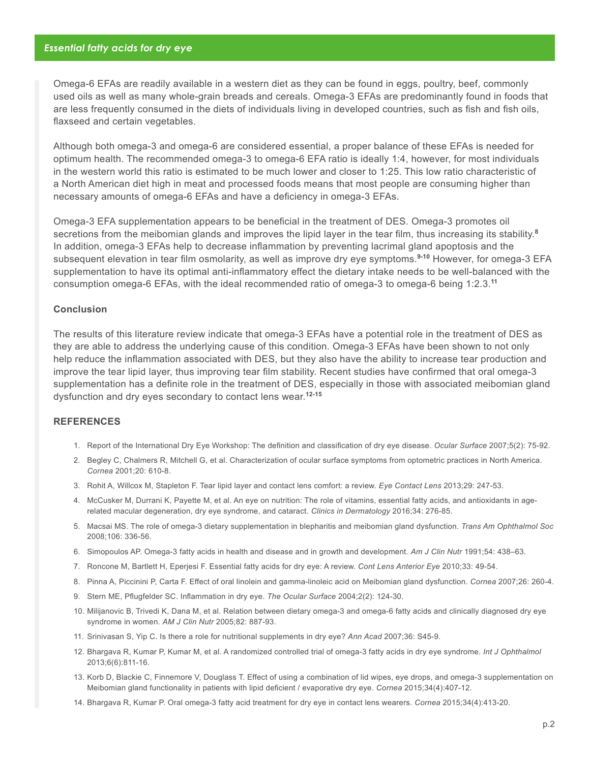Omega-6 EFAs are readily available in a western diet as they can be found in eggs, poultry, beef, commonly used oils as well as many whole-grain breads and cereals. Omega-3 EFAs are predominantly found in foods that are less frequently consumed in the diets of individuals living in developed countries, such as fish and fish oils, flaxseed and certain vegetables.

Although both omega-3 and omega-6 are considered essential, a proper balance of these EFAs is needed for optimum health. The recommended omega-3 to omega-6 EFA ratio is ideally 1:4, however, for most individuals in the western world this ratio is estimated to be much lower and closer to 1:25. This low ratio characteristic of a North American diet high in meat and processed foods means that most people are consuming higher than necessary amounts of omega-6 EFAs and have a deficiency in omega-3 EFAs.

Omega-3 EFA supplementation appears to be beneficial in the treatment of DES. Omega-3 promotes oil secretions from the meibomian glands and improves the lipid layer in the tear film, thus increasing its stability.**<sup>8</sup>** In addition, omega-3 EFAs help to decrease inflammation by preventing lacrimal gland apoptosis and the subsequent elevation in tear film osmolarity, as well as improve dry eye symptoms.**9-10** However, for omega-3 EFA supplementation to have its optimal anti-inflammatory effect the dietary intake needs to be well-balanced with the consumption omega-6 EFAs, with the ideal recommended ratio of omega-3 to omega-6 being 1:2.3.**<sup>11</sup>**

### **Conclusion**

The results of this literature review indicate that omega-3 EFAs have a potential role in the treatment of DES as they are able to address the underlying cause of this condition. Omega-3 EFAs have been shown to not only help reduce the inflammation associated with DES, but they also have the ability to increase tear production and improve the tear lipid layer, thus improving tear film stability. Recent studies have confirmed that oral omega-3 supplementation has a definite role in the treatment of DES, especially in those with associated meibomian gland dysfunction and dry eyes secondary to contact lens wear.**12-15**

#### **REFERENCES**

- 1. Report of the International Dry Eye Workshop: The definition and classification of dry eye disease. *Ocular Surface* 2007;5(2): 75-92.
- 2. Begley C, Chalmers R, Mitchell G, et al. Characterization of ocular surface symptoms from optometric practices in North America. *Cornea* 2001;20: 610-8.
- 3. Rohit A, Willcox M, Stapleton F. Tear lipid layer and contact lens comfort: a review. *Eye Contact Lens* 2013;29: 247-53.
- 4. McCusker M, Durrani K, Payette M, et al. An eye on nutrition: The role of vitamins, essential fatty acids, and antioxidants in agerelated macular degeneration, dry eye syndrome, and cataract. *Clinics in Dermatology* 2016;34: 276-85.
- 5. Macsai MS. The role of omega-3 dietary supplementation in blepharitis and meibomian gland dysfunction. *Trans Am Ophthalmol Soc*  2008;106: 336-56.
- 6. Simopoulos AP. Omega-3 fatty acids in health and disease and in growth and development. *Am J Clin Nutr* 1991;54: 438–63.
- 7. Roncone M, Bartlett H, Eperjesi F. Essential fatty acids for dry eye: A review. *Cont Lens Anterior Eye* 2010;33: 49-54.
- 8. Pinna A, Piccinini P, Carta F. Effect of oral linolein and gamma-linoleic acid on Meibomian gland dysfunction. *Cornea* 2007;26: 260-4.
- 9. Stern ME, Pflugfelder SC. Inflammation in dry eye. *The Ocular Surface* 2004;2(2): 124-30.
- 10. Milijanovic B, Trivedi K, Dana M, et al. Relation between dietary omega-3 and omega-6 fatty acids and clinically diagnosed dry eye syndrome in women. *AM J Clin Nutr* 2005;82: 887-93.
- 11. Srinivasan S, Yip C. Is there a role for nutritional supplements in dry eye? *Ann Acad* 2007;36: S45-9.
- 12. Bhargava R, Kumar P, Kumar M, et al. A randomized controlled trial of omega-3 fatty acids in dry eye syndrome. *Int J Ophthalmol*  2013;6(6):811-16.
- 13. Korb D, Blackie C, Finnemore V, Douglass T. Effect of using a combination of lid wipes, eye drops, and omega-3 supplementation on Meibomian gland functionality in patients with lipid deficient / evaporative dry eye. *Cornea* 2015;34(4):407-12.
- 14. Bhargava R, Kumar P. Oral omega-3 fatty acid treatment for dry eye in contact lens wearers. *Cornea* 2015;34(4):413-20.